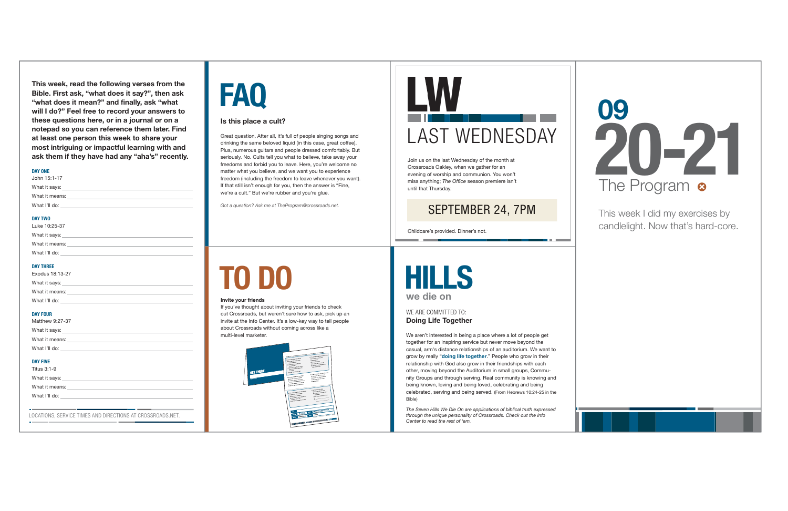We aren't interested in being a place where a lot of people get together for an inspiring service but never move beyond the casual, arm's distance relationships of an auditorium. We want to grow by really "**doing life together**." People who grow in their relationship with God also grow in their friendships with each other, moving beyond the Auditorium in small groups, Community Groups and through serving. Real community is knowing and being known, loving and being loved, celebrating and being celebrated, serving and being served. (From Hebrews 10:24-25 in the Bible)

**Doing Life Together**  WE ARE COMMITTED TO:



*The Seven Hills We Die On are applications of biblical truth expressed through the unique personality of Crossroads. Check out the Info Center to read the rest of 'em.*

## **TO DO**

#### **Invite your friends**

If you've thought about inviting your friends to check out Crossroads, but weren't sure how to ask, pick up an invite at the Info Center. It's a low-key way to tell people about Crossroads without coming across like a multi-level marketer.



# **FAQ**

#### **Is this place a cult?**

Great question. After all, it's full of people singing songs and drinking the same beloved liquid (in this case, great coffee). Plus, numerous guitars and people dressed comfortably. But seriously. No. Cults tell you what to believe, take away your freedoms and forbid you to leave. Here, you're welcome no matter what you believe, and we want you to experience freedom (including the freedom to leave whenever you want). If that still isn't enough for you, then the answer is "Fine, we're a cult." But we're rubber and you're glue.

*Got a question? Ask me at TheProgram@crossroads.net.*

This week I did my exercises by candlelight. Now that's hard-core.





**This week, read the following verses from the Bible. First ask, "what does it say?", then ask "what does it mean?" and finally, ask "what will I do?" Feel free to record your answers to these questions here, or in a journal or on a notepad so you can reference them later. Find at least one person this week to share your most intriguing or impactful learning with and ask them if they have had any "aha's" recently.**

| Matthew 9:27-37                                                                                                                                                                                                                                     |
|-----------------------------------------------------------------------------------------------------------------------------------------------------------------------------------------------------------------------------------------------------|
|                                                                                                                                                                                                                                                     |
|                                                                                                                                                                                                                                                     |
|                                                                                                                                                                                                                                                     |
| <b>DAY FIVE</b>                                                                                                                                                                                                                                     |
| Titus 3:1-9<br>What it says: <u>experience and the same of the same of the same of the same of the same of the same of the same of the same of the same of the same of the same of the same of the same of the same of the same of the same of </u> |
|                                                                                                                                                                                                                                                     |
| What I'll do: <u>with the contract of the contract of the contract of the contract of the contract of the contract of the contract of the contract of the contract of the contract of the contract of the contract of the contra</u>                |
|                                                                                                                                                                                                                                                     |
| LOCATIONS. SERVICE TIMES AND DIRECTIONS AT CROSSROADS.NET.                                                                                                                                                                                          |

#### **DAY ONE**

| What it means: |  |  |
|----------------|--|--|
|                |  |  |
| John 15:1-17   |  |  |

#### **DAY TWO**

| Luke 10:25-37  |  |
|----------------|--|
| What it says:  |  |
| What it means: |  |
| What I'll do:  |  |

#### **DAY THREE**

| Exodus 18:13-27 |  |  |
|-----------------|--|--|
| What it says:   |  |  |
| What it means:  |  |  |
| What I'll do:   |  |  |
|                 |  |  |

#### **DAY FOUR**

Join us on the last Wednesday of the month at Crossroads Oakley, when we gather for an evening of worship and communion. You won't miss anything; *The Office* season premiere isn't until that Thursday.

Childcare's provided. Dinner's not.

# **LW**LAST WEDNESDAY

#### SEPTEMBER 24, 7P M